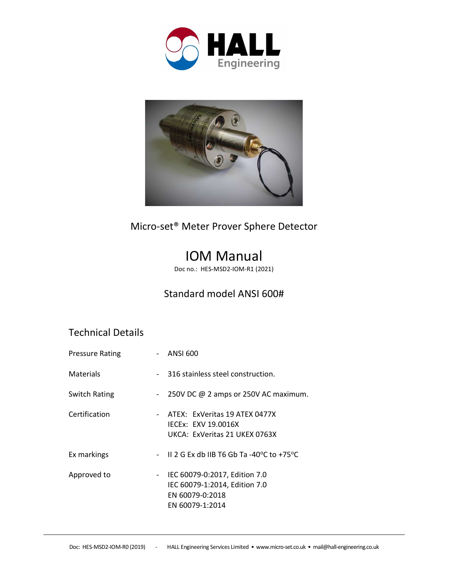



## Micro-set® Meter Prover Sphere Detector

# IOM Manual

Doc no.: HES-MSD2-IOM-R1 (2021)

## Standard model ANSI 600#

#### Technical Details

| <b>Pressure Rating</b> |   | - ANSI 600                                                                                           |
|------------------------|---|------------------------------------------------------------------------------------------------------|
| Materials              |   | - 316 stainless steel construction.                                                                  |
| Switch Rating          |   | - 250V DC @ 2 amps or 250V AC maximum.                                                               |
| Certification          |   | - ATEX: ExVeritas 19 ATEX 0477X<br>IECEX: EXV 19.0016X<br>UKCA: ExVeritas 21 UKEX 0763X              |
| Ex markings            |   | $-$ 11 2 G Ex db IIB T6 Gb Ta -40°C to +75°C                                                         |
| Approved to            | - | IEC 60079-0:2017, Edition 7.0<br>IEC 60079-1:2014, Edition 7.0<br>EN 60079-0:2018<br>EN 60079-1:2014 |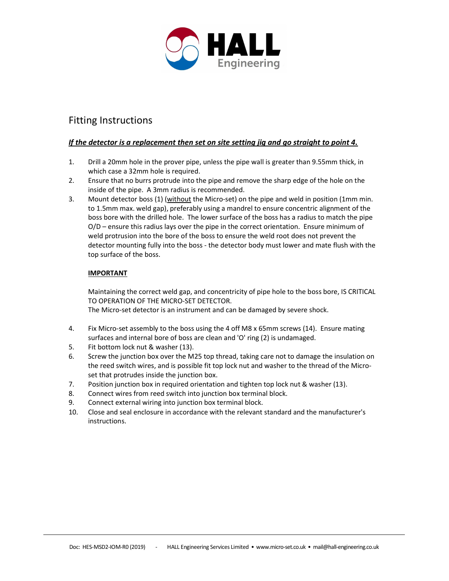

#### Fitting Instructions

#### If the detector is a replacement then set on site setting jig and go straight to point 4.

- 1. Drill a 20mm hole in the prover pipe, unless the pipe wall is greater than 9.55mm thick, in which case a 32mm hole is required.
- 2. Ensure that no burrs protrude into the pipe and remove the sharp edge of the hole on the inside of the pipe. A 3mm radius is recommended.
- 3. Mount detector boss (1) (without the Micro-set) on the pipe and weld in position (1mm min. to 1.5mm max. weld gap), preferably using a mandrel to ensure concentric alignment of the boss bore with the drilled hole. The lower surface of the boss has a radius to match the pipe O/D – ensure this radius lays over the pipe in the correct orientation. Ensure minimum of weld protrusion into the bore of the boss to ensure the weld root does not prevent the detector mounting fully into the boss - the detector body must lower and mate flush with the top surface of the boss.

#### IMPORTANT

Maintaining the correct weld gap, and concentricity of pipe hole to the boss bore, IS CRITICAL TO OPERATION OF THE MICRO-SET DETECTOR.

The Micro-set detector is an instrument and can be damaged by severe shock.

- 4. Fix Micro-set assembly to the boss using the 4 off M8 x 65mm screws (14). Ensure mating surfaces and internal bore of boss are clean and 'O' ring (2) is undamaged.
- 5. Fit bottom lock nut & washer (13).
- 6. Screw the junction box over the M25 top thread, taking care not to damage the insulation on the reed switch wires, and is possible fit top lock nut and washer to the thread of the Microset that protrudes inside the junction box.
- 7. Position junction box in required orientation and tighten top lock nut & washer (13).
- 8. Connect wires from reed switch into junction box terminal block.
- 9. Connect external wiring into junction box terminal block.
- 10. Close and seal enclosure in accordance with the relevant standard and the manufacturer's instructions.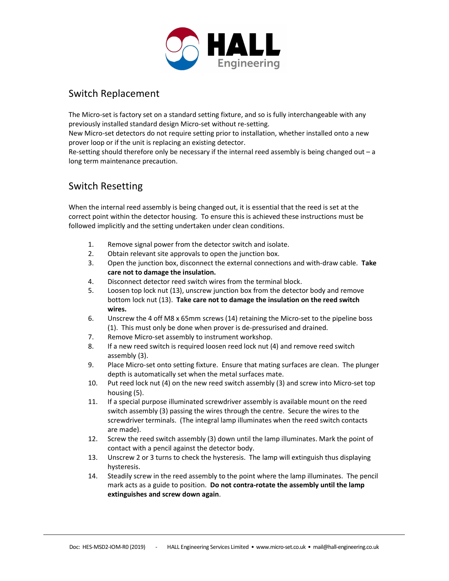

#### Switch Replacement

The Micro-set is factory set on a standard setting fixture, and so is fully interchangeable with any previously installed standard design Micro-set without re-setting.

New Micro-set detectors do not require setting prior to installation, whether installed onto a new prover loop or if the unit is replacing an existing detector.

Re-setting should therefore only be necessary if the internal reed assembly is being changed out – a long term maintenance precaution.

#### Switch Resetting

When the internal reed assembly is being changed out, it is essential that the reed is set at the correct point within the detector housing. To ensure this is achieved these instructions must be followed implicitly and the setting undertaken under clean conditions.

- 1. Remove signal power from the detector switch and isolate.
- 2. Obtain relevant site approvals to open the junction box.
- 3. Open the junction box, disconnect the external connections and with-draw cable. Take care not to damage the insulation.
- 4. Disconnect detector reed switch wires from the terminal block.
- 5. Loosen top lock nut (13), unscrew junction box from the detector body and remove bottom lock nut (13). Take care not to damage the insulation on the reed switch wires.
- 6. Unscrew the 4 off M8 x 65mm screws (14) retaining the Micro-set to the pipeline boss (1). This must only be done when prover is de-pressurised and drained.
- 7. Remove Micro-set assembly to instrument workshop.
- 8. If a new reed switch is required loosen reed lock nut (4) and remove reed switch assembly (3).
- 9. Place Micro-set onto setting fixture. Ensure that mating surfaces are clean. The plunger depth is automatically set when the metal surfaces mate.
- 10. Put reed lock nut (4) on the new reed switch assembly (3) and screw into Micro-set top housing (5).
- 11. If a special purpose illuminated screwdriver assembly is available mount on the reed switch assembly (3) passing the wires through the centre. Secure the wires to the screwdriver terminals. (The integral lamp illuminates when the reed switch contacts are made).
- 12. Screw the reed switch assembly (3) down until the lamp illuminates. Mark the point of contact with a pencil against the detector body.
- 13. Unscrew 2 or 3 turns to check the hysteresis. The lamp will extinguish thus displaying hysteresis.
- 14. Steadily screw in the reed assembly to the point where the lamp illuminates. The pencil mark acts as a guide to position. Do not contra-rotate the assembly until the lamp extinguishes and screw down again.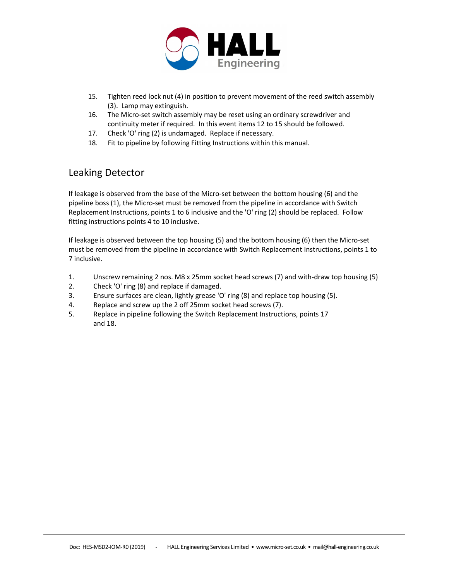

- 15. Tighten reed lock nut (4) in position to prevent movement of the reed switch assembly (3). Lamp may extinguish.
- 16. The Micro-set switch assembly may be reset using an ordinary screwdriver and continuity meter if required. In this event items 12 to 15 should be followed.
- 17. Check 'O' ring (2) is undamaged. Replace if necessary.
- 18. Fit to pipeline by following Fitting Instructions within this manual.

#### Leaking Detector

If leakage is observed from the base of the Micro-set between the bottom housing (6) and the pipeline boss (1), the Micro-set must be removed from the pipeline in accordance with Switch Replacement Instructions, points 1 to 6 inclusive and the 'O' ring (2) should be replaced. Follow fitting instructions points 4 to 10 inclusive.

If leakage is observed between the top housing (5) and the bottom housing (6) then the Micro-set must be removed from the pipeline in accordance with Switch Replacement Instructions, points 1 to 7 inclusive.

- 1. Unscrew remaining 2 nos. M8 x 25mm socket head screws (7) and with-draw top housing (5)
- 2. Check 'O' ring (8) and replace if damaged.
- 3. Ensure surfaces are clean, lightly grease 'O' ring (8) and replace top housing (5).
- 4. Replace and screw up the 2 off 25mm socket head screws (7).
- 5. Replace in pipeline following the Switch Replacement Instructions, points 17 and 18.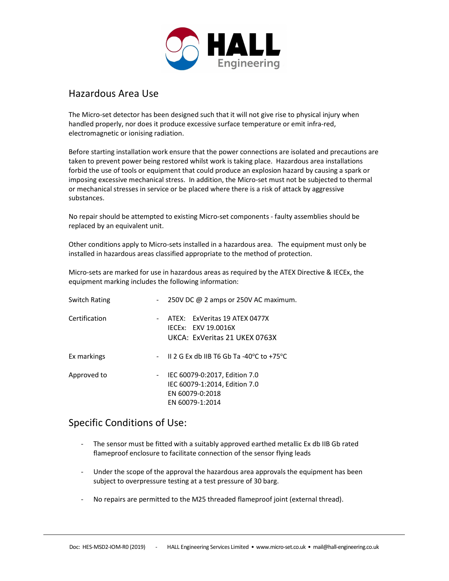

#### Hazardous Area Use

The Micro-set detector has been designed such that it will not give rise to physical injury when handled properly, nor does it produce excessive surface temperature or emit infra-red, electromagnetic or ionising radiation.

Before starting installation work ensure that the power connections are isolated and precautions are taken to prevent power being restored whilst work is taking place. Hazardous area installations forbid the use of tools or equipment that could produce an explosion hazard by causing a spark or imposing excessive mechanical stress. In addition, the Micro-set must not be subjected to thermal or mechanical stresses in service or be placed where there is a risk of attack by aggressive substances.

No repair should be attempted to existing Micro-set components - faulty assemblies should be replaced by an equivalent unit.

Other conditions apply to Micro-sets installed in a hazardous area. The equipment must only be installed in hazardous areas classified appropriate to the method of protection.

Micro-sets are marked for use in hazardous areas as required by the ATEX Directive & IECEx, the equipment marking includes the following information:

| <b>Switch Rating</b> |                | $-250V$ DC @ 2 amps or 250V AC maximum.                                                              |
|----------------------|----------------|------------------------------------------------------------------------------------------------------|
| Certification        |                | ATEX: ExVeritas 19 ATEX 0477X<br>IFCFx: FXV 19.0016X<br>UKCA: ExVeritas 21 UKEX 0763X                |
| Ex markings          |                | $-$ 11 2 G Ex db IIB T6 Gb Ta -40°C to +75°C                                                         |
| Approved to          | $\blacksquare$ | IEC 60079-0:2017, Edition 7.0<br>IEC 60079-1:2014, Edition 7.0<br>EN 60079-0:2018<br>EN 60079-1:2014 |

#### Specific Conditions of Use:

- The sensor must be fitted with a suitably approved earthed metallic Ex db IIB Gb rated flameproof enclosure to facilitate connection of the sensor flying leads
- Under the scope of the approval the hazardous area approvals the equipment has been subject to overpressure testing at a test pressure of 30 barg.
- No repairs are permitted to the M25 threaded flameproof joint (external thread).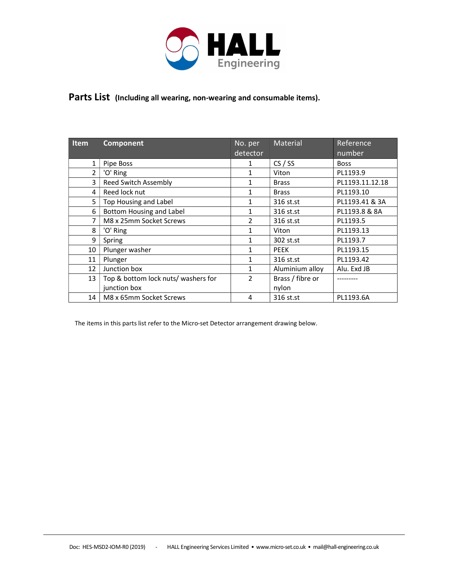

Parts List (Including all wearing, non-wearing and consumable items).

| <b>Item</b>    | <b>Component</b>                                    | No. per<br>detector | Material                  | Reference<br>number |
|----------------|-----------------------------------------------------|---------------------|---------------------------|---------------------|
| 1              | Pipe Boss                                           | 1                   | CS / SS                   | <b>Boss</b>         |
| $\overline{2}$ | 'O' Ring                                            | 1                   | Viton                     | PL1193.9            |
| 3              | <b>Reed Switch Assembly</b>                         | 1                   | <b>Brass</b>              | PL1193.11.12.18     |
| 4              | Reed lock nut                                       | 1                   | <b>Brass</b>              | PL1193.10           |
| 5.             | Top Housing and Label                               |                     | 316 st.st                 | PL1193.41 & 3A      |
| 6              | Bottom Housing and Label                            | 1                   | 316 st.st                 | PL1193.8 & 8A       |
| 7              | M8 x 25mm Socket Screws                             | $\mathfrak z$       | 316 st.st                 | PL1193.5            |
| 8              | 'O' Ring                                            | 1                   | Viton                     | PL1193.13           |
| 9              | Spring                                              | 1                   | 302 st.st                 | PL1193.7            |
| 10             | Plunger washer                                      |                     | <b>PEEK</b>               | PL1193.15           |
| 11             | Plunger                                             | 1                   | 316 st.st                 | PL1193.42           |
| 12             | Junction box                                        | 1                   | Aluminium alloy           | Alu. Exd JB         |
| 13             | Top & bottom lock nuts/ washers for<br>junction box | $\mathfrak{p}$      | Brass / fibre or<br>nylon |                     |
| 14             | M8 x 65mm Socket Screws                             | 4                   | 316 st.st                 | PL1193.6A           |

The items in this parts list refer to the Micro-set Detector arrangement drawing below.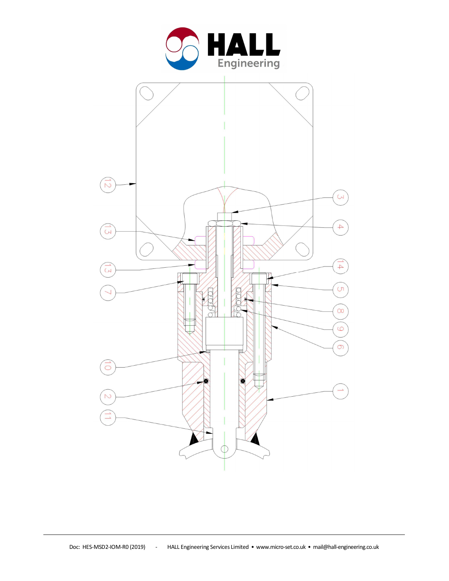